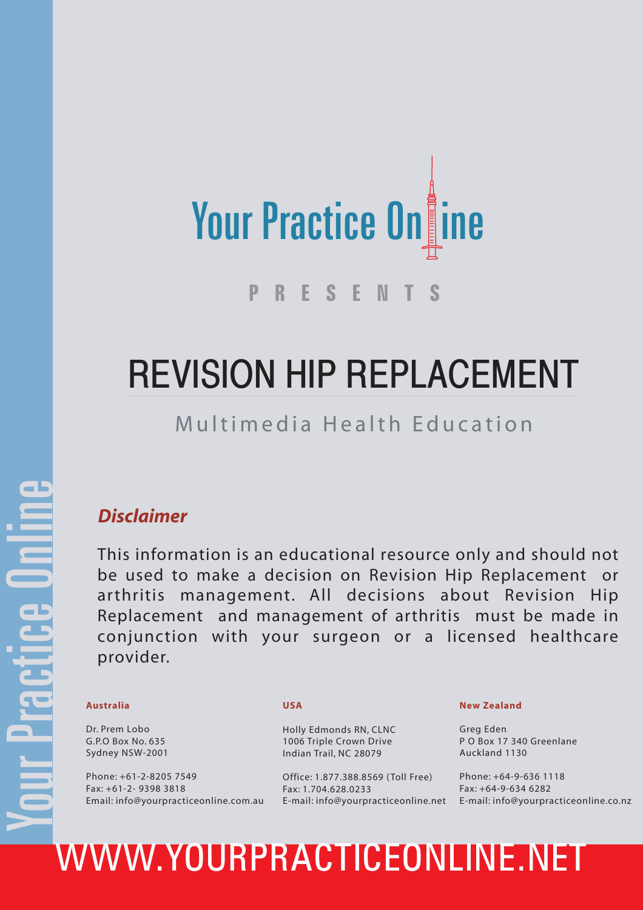

# REVISION HIP REPLACEMENT

### Multimedia Health Education

#### *Disclaimer*

This information is an educational resource only and should not be used to make a decision on Revision Hip Replacement or arthritis management. All decisions about Revision Hip Replacement and management of arthritis must be made in conjunction with your surgeon or a licensed healthcare provider.

Dr. Prem Lobo G.P.O Box No. 635 Sydney NSW-2001

Phone: +61-2-8205 7549 Fax: +61-2- 9398 3818 Email: info@yourpracticeonline.com.au

#### **USA**

Holly Edmonds RN, CLNC 1006 Triple Crown Drive Indian Trail, NC 28079

Office: 1.877.388.8569 ( Toll Free) Fax: 1.704.628.0233

#### **New Zealand**

Greg Eden P O Box 17 340 Greenlane Auckland 1130

E-mail: info@yourpracticeonline.net E-mail: info@yourpracticeonline.co.nz Phone: +64-9-636 1118 Fax: +64-9-634 6282

# Australia USA<br>
Dr. Prem Lobo<br>
G.P.O Box No. 635<br>
Sydney NSW-2001<br>
Phone: +61-2-8205 7549<br>
Phone: +61-2-8205 7549<br>
Phone: +61-2-8205 7549<br>
Phone: +61-2-8205 7549<br>
Fax: +61-2-9398 3818<br>
Fax: +61-2-9398 3818<br>
Email: info@your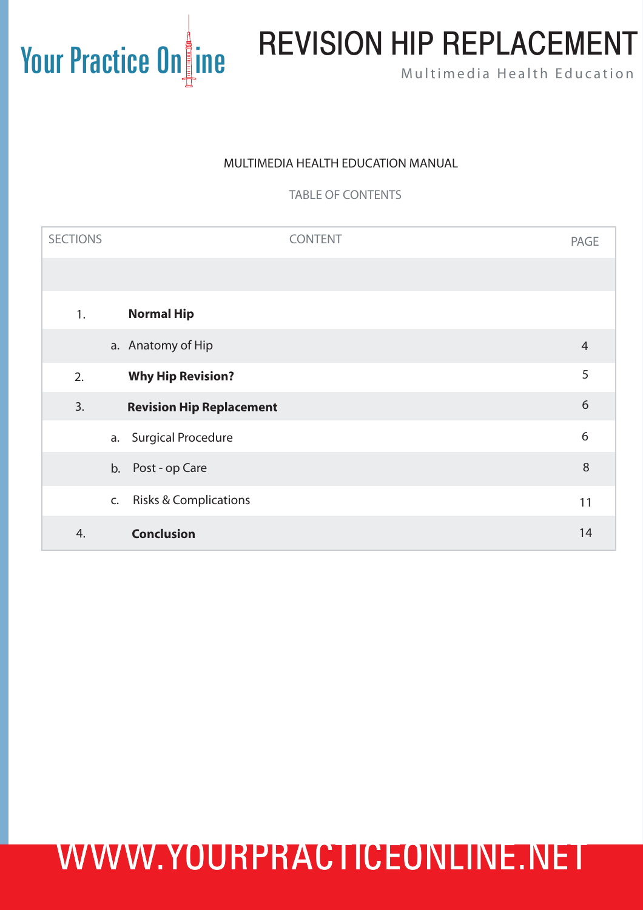# Your Practice On ine REVISION HIP REPLACEMENT

#### MULTIMEDIA HEALTH EDUCATION MANUAL

TABLE OF CONTENTS

| <b>SECTIONS</b> |    |                                  | <b>CONTENT</b> | <b>PAGE</b>    |
|-----------------|----|----------------------------------|----------------|----------------|
|                 |    |                                  |                |                |
| 1.              |    | <b>Normal Hip</b>                |                |                |
|                 |    | a. Anatomy of Hip                |                | $\overline{4}$ |
| 2.              |    | <b>Why Hip Revision?</b>         |                | 5              |
| 3.              |    | <b>Revision Hip Replacement</b>  |                | 6              |
|                 | a. | <b>Surgical Procedure</b>        |                | 6              |
|                 | b. | Post - op Care                   |                | $\,8\,$        |
|                 | C. | <b>Risks &amp; Complications</b> |                | 11             |
| 4.              |    | <b>Conclusion</b>                |                | 14             |
|                 |    |                                  |                |                |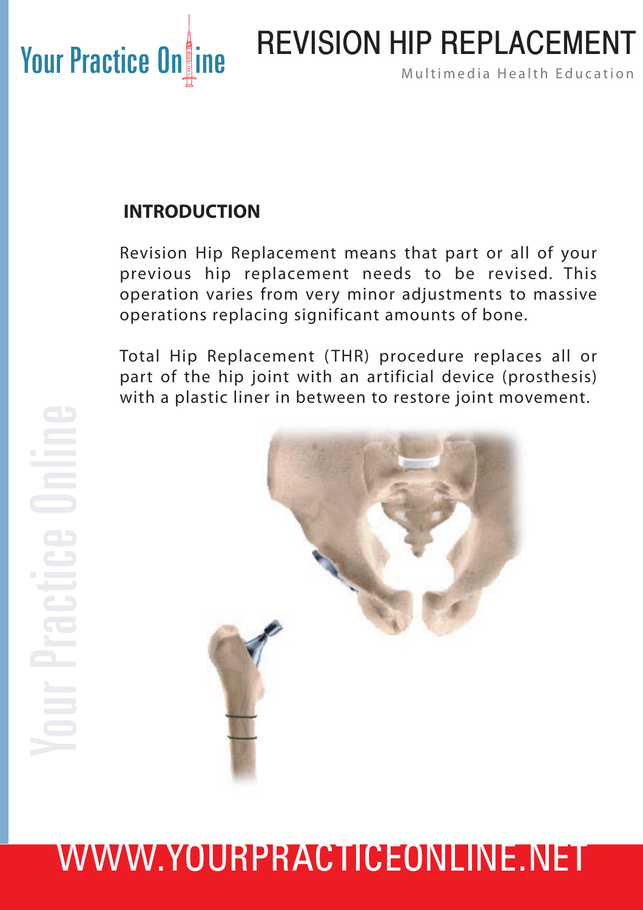# REVISION HIP REPLACEMENT

#### **INTRODUCTION**

Revision Hip Replacement means that part or all of your previous hip replacement needs to be revised. This operation varies from very minor adjustments to massive operations replacing significant amounts of bone.

Total Hip Replacement ( THR) procedure replaces all or part of the hip joint with an artificial device (prosthesis) with a plastic liner in between to restore joint movement.

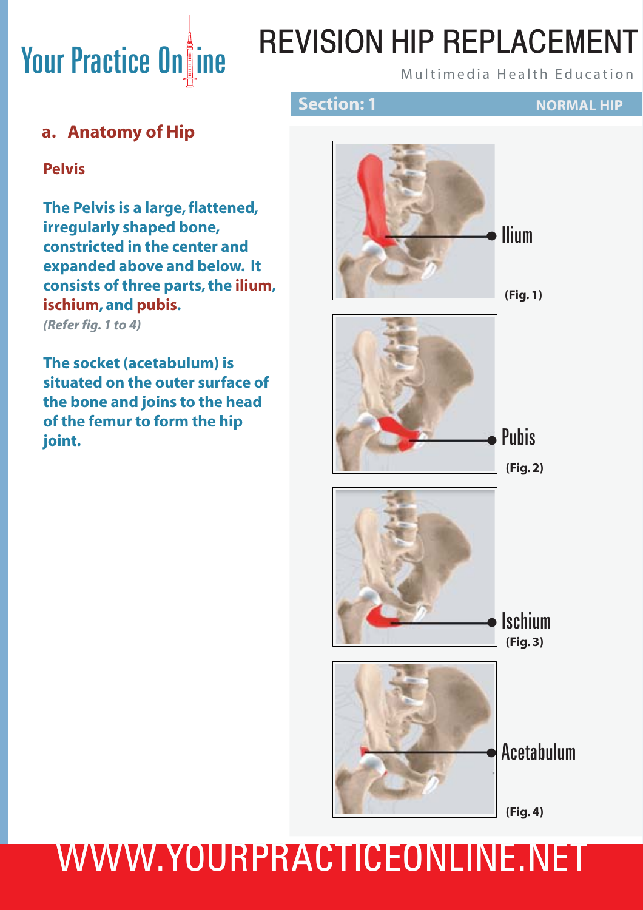# REVISION HIP REPLACEMENT

#### **a. Anatomy of Hip**

#### **Pelvis**

**The Pelvis is a large, flattened, irregularly shaped bone, constricted in the center and expanded above and below. It consists of three parts, the ilium, ischium, and pubis.**

*(Refer fig. 1 to 4)*

**The socket (acetabulum) is situated on the outer surface of the bone and joins to the head of the femur to form the hip joint.**

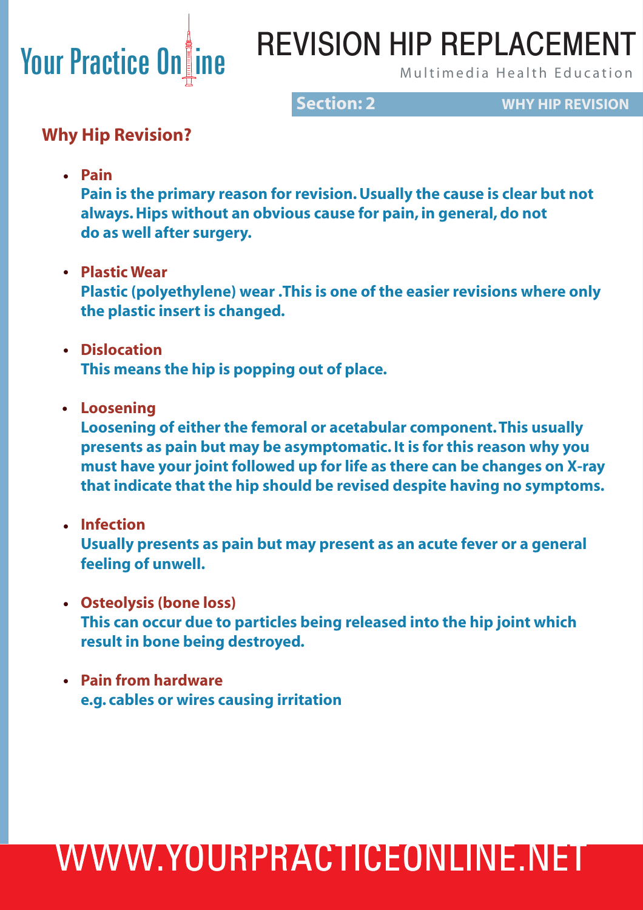## REVISION HIP REPLACEMENT

**Section: 2 WHY HIP REVISION**

#### **Why Hip Revision?**

**• Pain**

 **Pain is the primary reason for revision. Usually the cause is clear but not always. Hips without an obvious cause for pain, in general, do not do as well after surgery.** 

 **Plastic Wear •**

 **Plastic (polyethylene) wear .This is one of the easier revisions where only the plastic insert is changed.** 

- **Dislocation • This means the hip is popping out of place.**
- **Loosening •**

 **Loosening of either the femoral or acetabular component. This usually presents as pain but may be asymptomatic. It is for this reason why you must have your joint followed up for life as there can be changes on X-ray that indicate that the hip should be revised despite having no symptoms.** 

- **Infection • Usually presents as pain but may present as an acute fever or a general feeling of unwell.**
- **Osteolysis (bone loss) • This can occur due to particles being released into the hip joint which result in bone being destroyed.**
- **Pain from hardware • e.g. cables or wires causing irritation**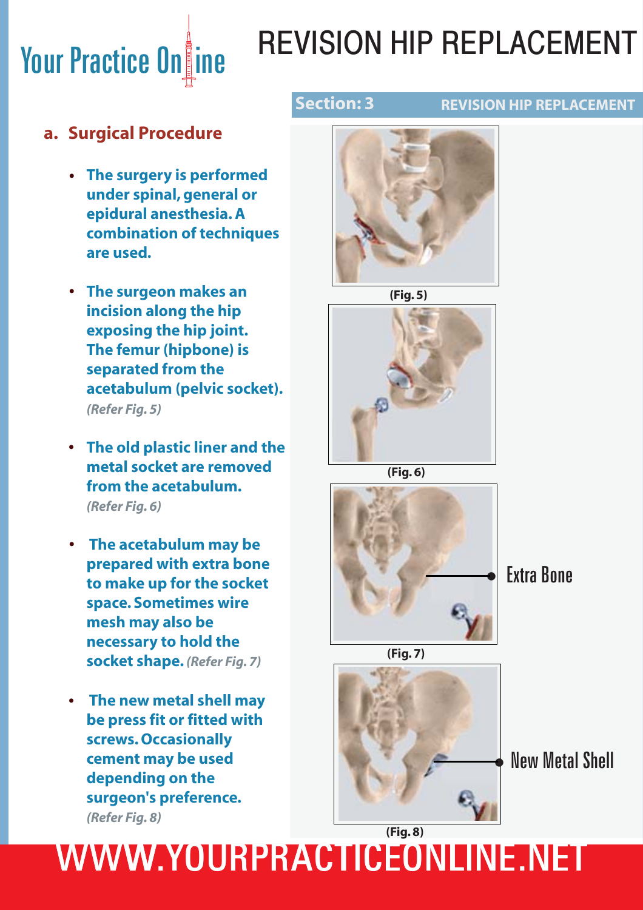# Your Practice On ine

# REVISION HIP REPLACEMENT

#### **REVISION HIP REPLACEMENT**

#### **a. Surgical Procedure**

- **The surgery is performed • under spinal, general or epidural anesthesia. A combination of techniques are used.**
- **The surgeon makes an • incision along the hip exposing the hip joint. The femur (hipbone) is separated from the acetabulum (pelvic socket).**  *(Refer Fig. 5)*
- **The old plastic liner and the • metal socket are removed from the acetabulum.**  *(Refer Fig. 6)*
- **The acetabulum may be • prepared with extra bone to make up for the socket space. Sometimes wire mesh may also be necessary to hold the socket shape.** *(Refer Fig. 7)*
- **The new metal shell may • be press fit or fitted with screws. Occasionally cement may be used depending on the surgeon's preference.**  *(Refer Fig. 8)*



**(Fig. 5)**







• Extra Bone





New Metal Shell •

## WWW.YOURPRACTICEONLINE.NET **(Fig. 8)**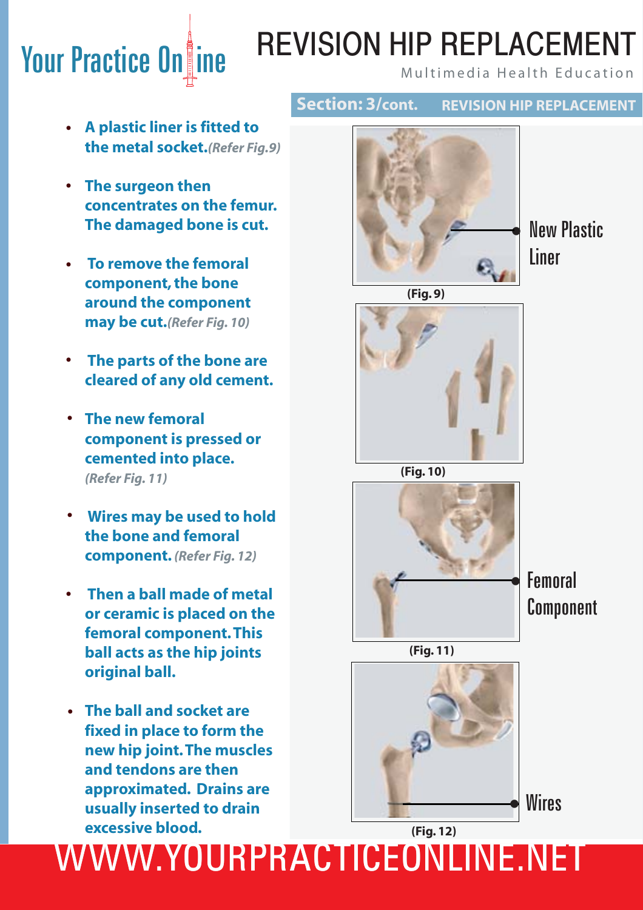## Your Practice Online MULT MULT MULT LAVENIER I REVISION HIP REPLACEMENT

**REVISION HIP REPLACEMENT**

- **A plastic liner is fitted to • the metal socket.***(Refer Fig.9)*
- **The surgeon then • concentrates on the femur. The damaged bone is cut.**
	- **To remove the femoral component, the bone around the component may be cut.***(Refer Fig. 10)* **•**
	- **The parts of the bone are cleared of any old cement. •**
- **The new femoral • component is pressed or cemented into place.**   *(Refer Fig. 11)*
- **Wires may be used to hold • the bone and femoral component.** *(Refer Fig. 12)*
	- **Then a ball made of metal or ceramic is placed on the femoral component. This ball acts as the hip joints original ball. •**
- **The ball and socket are • fixed in place to form the new hip joint. The muscles and tendons are then approximated. Drains are usually inserted to drain excessive blood.**



**Section: 3/cont.**

• New Plastic Liner



**(Fig. 10)**



**Femoral** Component





**Wires** 

## WWW.YOURPRACTICEONLINE.NET **(Fig. 12)**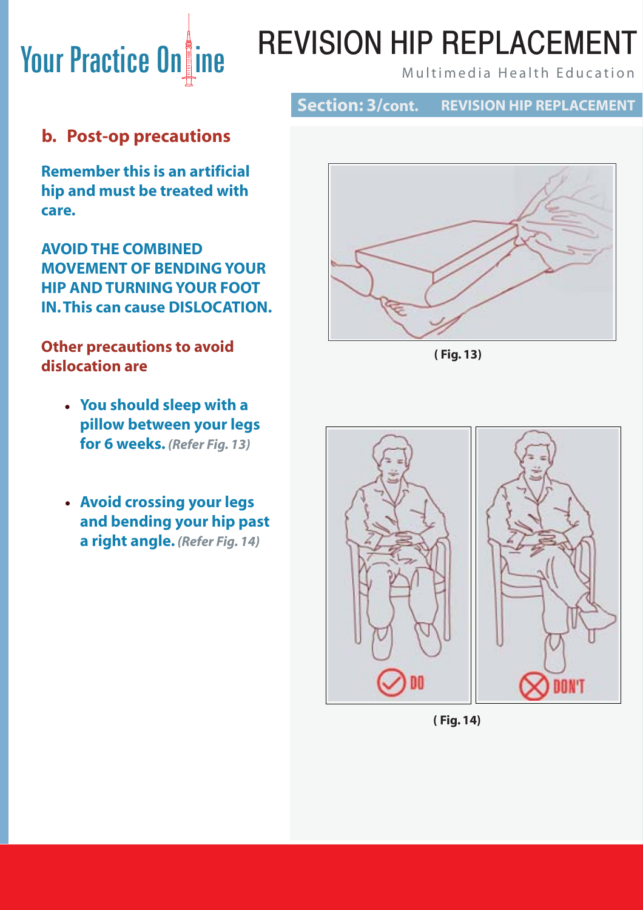## Your Practice Online Multimedia Health Education REVISION HIP REPLACEMENT

#### **Section: 3/cont. REVISION HIP REPLACEMENT**

#### **b. Post-op precautions**

**Remember this is an artificial hip and must be treated with care.**

**AVOID THE COMBINED MOVEMENT OF BENDING YOUR HIP AND TURNING YOUR FOOT IN. This can cause DISLOCATION.** 

#### **Other precautions to avoid dislocation are**

- **You should sleep with a • pillow between your legs for 6 weeks.** *(Refer Fig. 13)*
- **Avoid crossing your legs • and bending your hip past a right angle.** *(Refer Fig. 14)*



**( Fig. 13)**



**( Fig. 14)**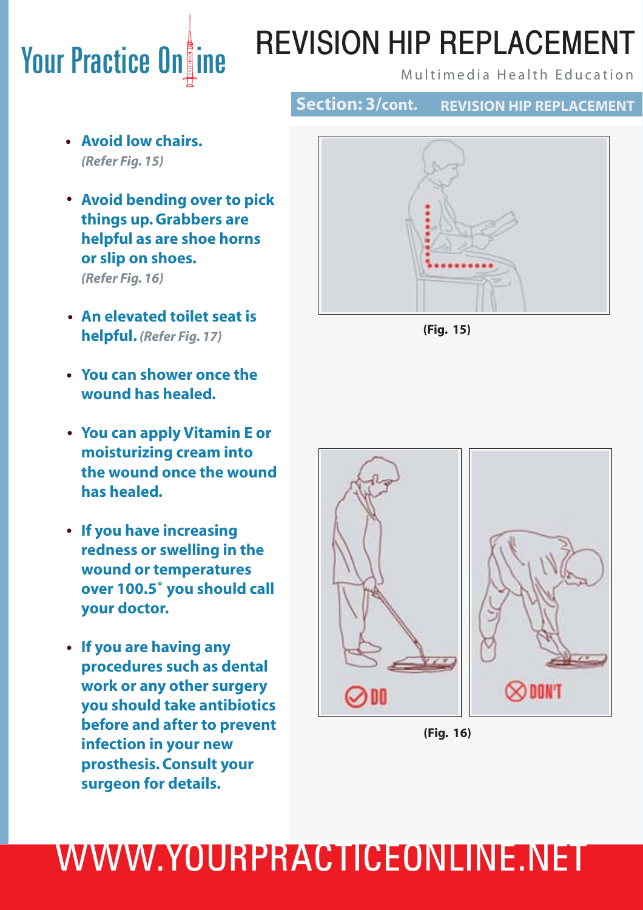# **Your Practice Online TIL VIOIOIN THE TILE LAVLIVILIVI**

# REVISION HIP REPLACEMENT

**Section: 3/cont.**

**REVISION HIP REPLACEMENT**

- **Avoid low chairs. •** *(Refer Fig. 15)*
- **Avoid bending over to pick • things up. Grabbers are helpful as are shoe horns or slip on shoes.**  *(Refer Fig. 16)*
- **An elevated toilet seat is • helpful.** *(Refer Fig. 17)*
- **You can shower once the • wound has healed.**
- **You can apply Vitamin E or • moisturizing cream into the wound once the wound has healed.**
- **If you have increasing • redness or swelling in the wound or temperatures over 100.5˚ you should call your doctor.**
- **If you are having any • procedures such as dental work or any other surgery you should take antibiotics before and after to prevent infection in your new prosthesis. Consult your surgeon for details.**







**(Fig. 16)**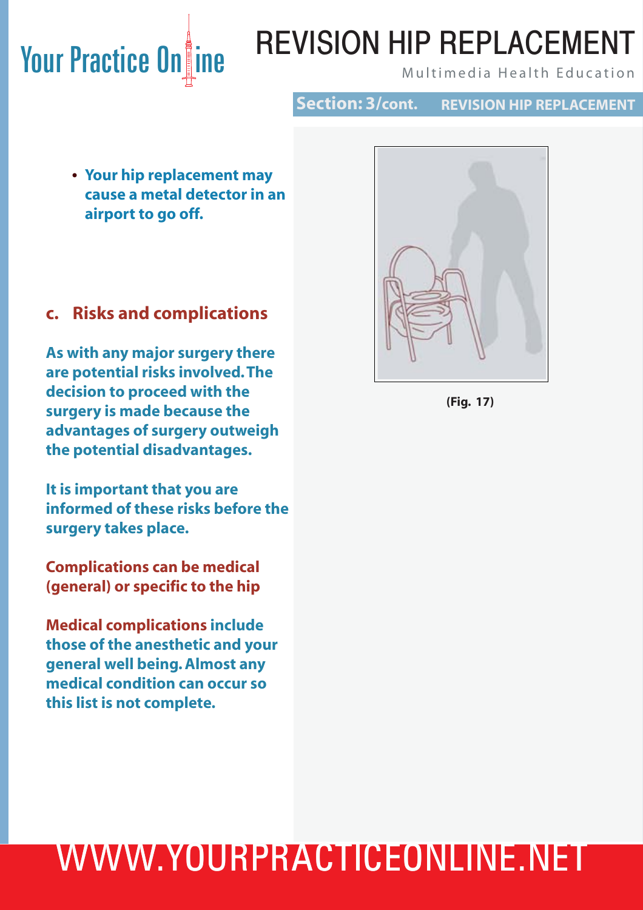# REVISION HIP REPLACEMENT

**Section: 3/cont. REVISION HIP REPLACEMENT**

 **Your hip replacement may • cause a metal detector in an airport to go off.**

#### **c. Risks and complications**

**As with any major surgery there are potential risks involved. The decision to proceed with the surgery is made because the advantages of surgery outweigh the potential disadvantages.**

**It is important that you are informed of these risks before the surgery takes place.** 

**Complications can be medical (general) or specific to the hip**

**Medical complications include those of the anesthetic and your general well being. Almost any medical condition can occur so this list is not complete.** 



**(Fig. 17)**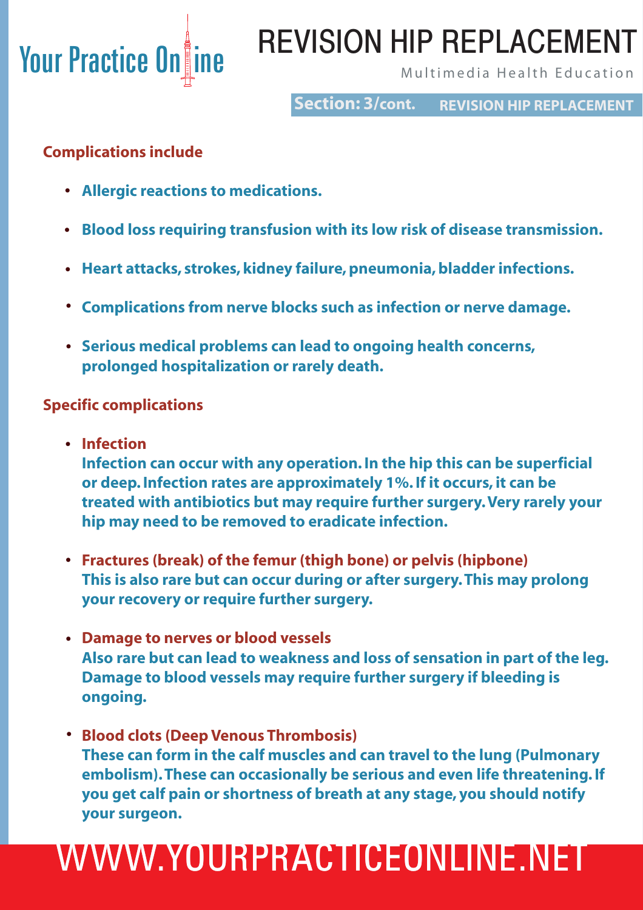# REVISION HIP REPLACEMENT

**Section: 3/cont. REVISION HIP REPLACEMENT**

#### **Complications include**

- **Allergic reactions to medications. •**
- **Blood loss requiring transfusion with its low risk of disease transmission. •**
- **Heart attacks, strokes, kidney failure, pneumonia, bladder infections. •**
- **Complications from nerve blocks such as infection or nerve damage. •**
- **•** Serious medical problems can lead to ongoing health concerns,  **prolonged hospitalization or rarely death.**

#### **Specific complications**

 **Infection •**

 **Infection can occur with any operation. In the hip this can be superficial or deep. Infection rates are approximately 1%. If it occurs, it can be treated with antibiotics but may require further surgery. Very rarely your hip may need to be removed to eradicate infection.**

- **Fractures (break) of the femur (thigh bone) or pelvis (hipbone) • This is also rare but can occur during or after surgery. This may prolong your recovery or require further surgery.**
- **Damage to nerves or blood vessels • Also rare but can lead to weakness and loss of sensation in part of the leg. Damage to blood vessels may require further surgery if bleeding is ongoing.**
- **Blood clots (Deep Venous Thrombosis) • These can form in the calf muscles and can travel to the lung (Pulmonary embolism). These can occasionally be serious and even life threatening. If you get calf pain or shortness of breath at any stage, you should notify your surgeon.**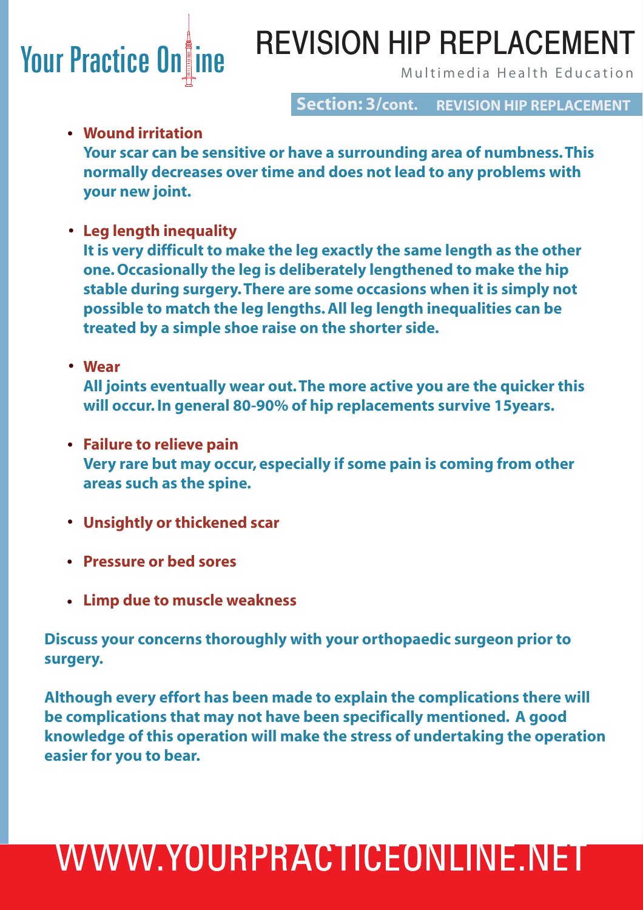# Your Practice Online MIL VIOIUM THE TILL LAULIVILIVI

# REVISION HIP REPLACEMENT

**Section: 3/cont. REVISION HIP REPLACEMENT**

#### **Wound irritation •**

 **Your scar can be sensitive or have a surrounding area of numbness. This normally decreases over time and does not lead to any problems with your new joint.** 

 **Leg length inequality •**

 **It is very difficult to make the leg exactly the same length as the other one. Occasionally the leg is deliberately lengthened to make the hip stable during surgery. There are some occasions when it is simply not possible to match the leg lengths. All leg length inequalities can be treated by a simple shoe raise on the shorter side.**

 **Wear •**

 **All joints eventually wear out. The more active you are the quicker this will occur. In general 80-90% of hip replacements survive 15years.** 

- **Failure to relieve pain • Very rare but may occur, especially if some pain is coming from other areas such as the spine.**
- **Unsightly or thickened scar •**
- **Pressure or bed sores •**
- **Limp due to muscle weakness •**

**Discuss your concerns thoroughly with your orthopaedic surgeon prior to surgery.** 

**Although every effort has been made to explain the complications there will be complications that may not have been specifically mentioned. A good knowledge of this operation will make the stress of undertaking the operation easier for you to bear.**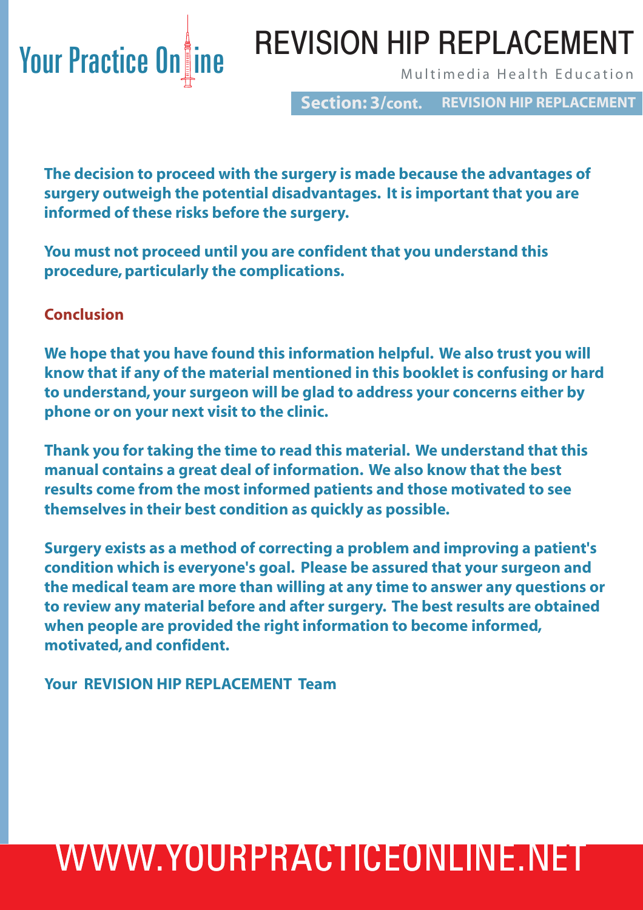## Your Practice Online Multimedia Health Education REVISION HIP REPLACEMENT

**Section: 3/cont. REVISION HIP REPLACEMENT**

**The decision to proceed with the surgery is made because the advantages of surgery outweigh the potential disadvantages. It is important that you are informed of these risks before the surgery.**

**You must not proceed until you are confident that you understand this procedure, particularly the complications.**

#### **Conclusion**

**We hope that you have found this information helpful. We also trust you will know that if any of the material mentioned in this booklet is confusing or hard to understand, your surgeon will be glad to address your concerns either by phone or on your next visit to the clinic.**

**Thank you for taking the time to read this material. We understand that this manual contains a great deal of information. We also know that the best results come from the most informed patients and those motivated to see themselves in their best condition as quickly as possible.**

**Surgery exists as a method of correcting a problem and improving a patient's condition which is everyone's goal. Please be assured that your surgeon and the medical team are more than willing at any time to answer any questions or to review any material before and after surgery. The best results are obtained when people are provided the right information to become informed, motivated, and confident.**

**Your REVISION HIP REPLACEMENT Team**